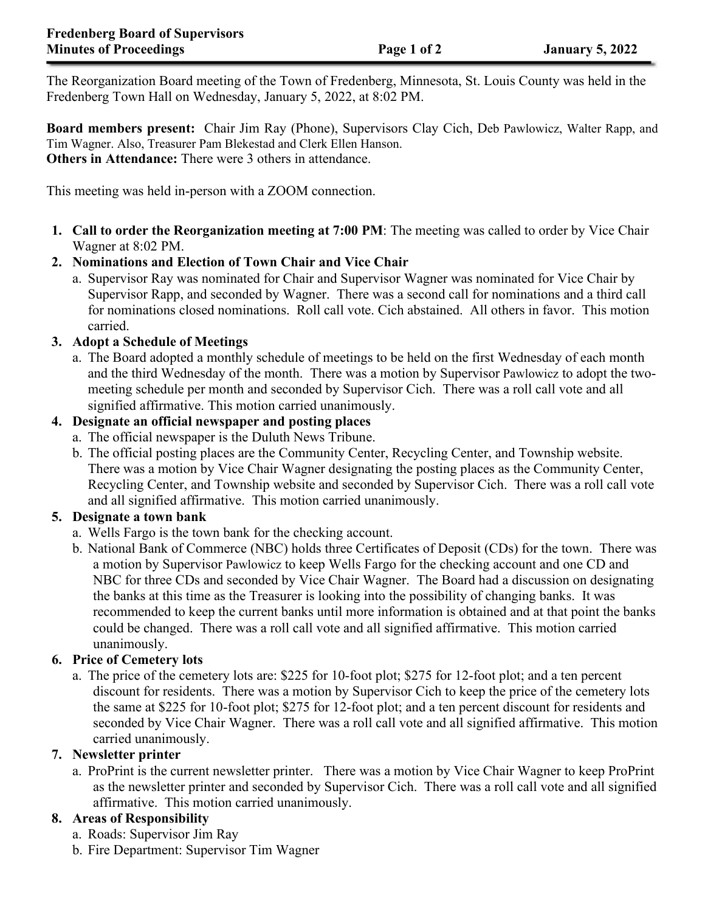The Reorganization Board meeting of the Town of Fredenberg, Minnesota, St. Louis County was held in the Fredenberg Town Hall on Wednesday, January 5, 2022, at 8:02 PM.

**Board members present:** Chair Jim Ray (Phone), Supervisors Clay Cich, Deb Pawlowicz, Walter Rapp, and Tim Wagner. Also, Treasurer Pam Blekestad and Clerk Ellen Hanson. **Others in Attendance:** There were 3 others in attendance.

This meeting was held in-person with a ZOOM connection.

**1. Call to order the Reorganization meeting at 7:00 PM**: The meeting was called to order by Vice Chair Wagner at 8:02 PM.

# **2. Nominations and Election of Town Chair and Vice Chair**

a. Supervisor Ray was nominated for Chair and Supervisor Wagner was nominated for Vice Chair by Supervisor Rapp, and seconded by Wagner. There was a second call for nominations and a third call for nominations closed nominations. Roll call vote. Cich abstained. All others in favor. This motion carried.

# **3. Adopt a Schedule of Meetings**

a. The Board adopted a monthly schedule of meetings to be held on the first Wednesday of each month and the third Wednesday of the month. There was a motion by Supervisor Pawlowicz to adopt the twomeeting schedule per month and seconded by Supervisor Cich. There was a roll call vote and all signified affirmative. This motion carried unanimously.

# **4. Designate an official newspaper and posting places**

- a. The official newspaper is the Duluth News Tribune.
- b. The official posting places are the Community Center, Recycling Center, and Township website. There was a motion by Vice Chair Wagner designating the posting places as the Community Center, Recycling Center, and Township website and seconded by Supervisor Cich. There was a roll call vote and all signified affirmative. This motion carried unanimously.

# **5. Designate a town bank**

- a. Wells Fargo is the town bank for the checking account.
- b. National Bank of Commerce (NBC) holds three Certificates of Deposit (CDs) for the town. There was a motion by Supervisor Pawlowicz to keep Wells Fargo for the checking account and one CD and NBC for three CDs and seconded by Vice Chair Wagner. The Board had a discussion on designating the banks at this time as the Treasurer is looking into the possibility of changing banks. It was recommended to keep the current banks until more information is obtained and at that point the banks could be changed. There was a roll call vote and all signified affirmative. This motion carried unanimously.

# **6. Price of Cemetery lots**

a. The price of the cemetery lots are: \$225 for 10-foot plot; \$275 for 12-foot plot; and a ten percent discount for residents. There was a motion by Supervisor Cich to keep the price of the cemetery lots the same at \$225 for 10-foot plot; \$275 for 12-foot plot; and a ten percent discount for residents and seconded by Vice Chair Wagner. There was a roll call vote and all signified affirmative. This motion carried unanimously.

### **7. Newsletter printer**

a. ProPrint is the current newsletter printer. There was a motion by Vice Chair Wagner to keep ProPrint as the newsletter printer and seconded by Supervisor Cich. There was a roll call vote and all signified affirmative. This motion carried unanimously.

### **8. Areas of Responsibility**

- a. Roads: Supervisor Jim Ray
- b. Fire Department: Supervisor Tim Wagner